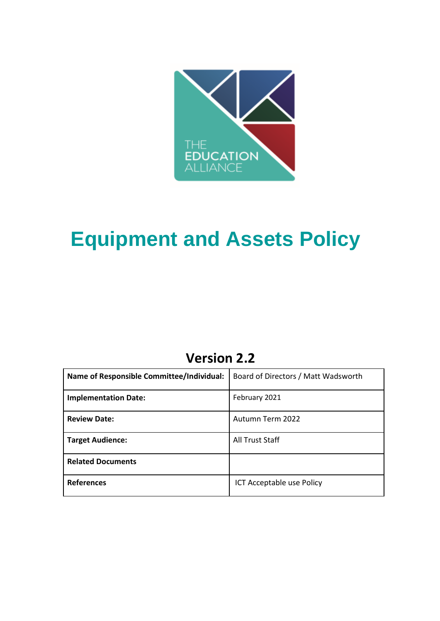

# **Equipment and Assets Policy**

# **Version 2.2**

| Name of Responsible Committee/Individual: | Board of Directors / Matt Wadsworth |
|-------------------------------------------|-------------------------------------|
| <b>Implementation Date:</b>               | February 2021                       |
| <b>Review Date:</b>                       | Autumn Term 2022                    |
| <b>Target Audience:</b>                   | <b>All Trust Staff</b>              |
| <b>Related Documents</b>                  |                                     |
| <b>References</b>                         | ICT Acceptable use Policy           |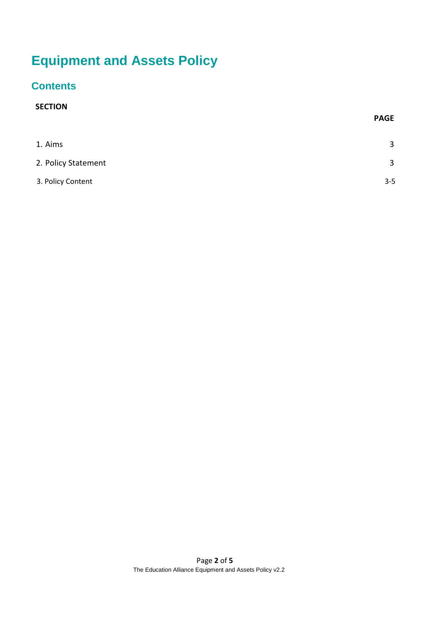# **Equipment and Assets Policy**

## **Contents**

### **SECTION**

|                     | <b>PAGE</b>    |
|---------------------|----------------|
| 1. Aims             | 3              |
| 2. Policy Statement | $\overline{3}$ |
| 3. Policy Content   | $3 - 5$        |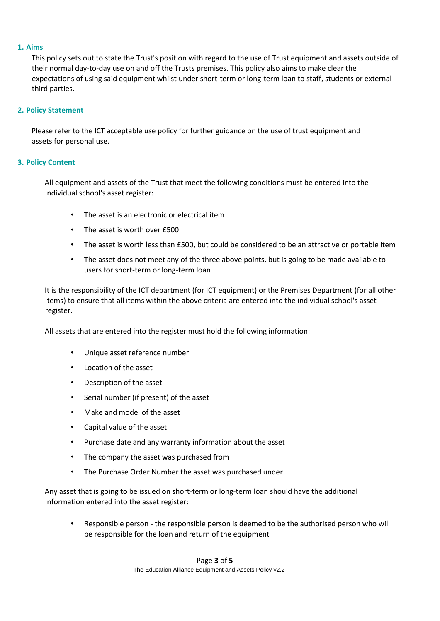#### <span id="page-2-0"></span>**1. Aims**

This policy sets out to state the Trust's position with regard to the use of Trust equipment and assets outside of their normal day-to-day use on and off the Trusts premises. This policy also aims to make clear the expectations of using said equipment whilst under short-term or long-term loan to staff, students or external third parties.

#### <span id="page-2-1"></span>**2. Policy Statement**

Please refer to the ICT acceptable use policy for further guidance on the use of trust equipment and assets for personal use.

### **3. Policy Content**

All equipment and assets of the Trust that meet the following conditions must be entered into the individual school's asset register:

- The asset is an electronic or electrical item
- The asset is worth over £500
- The asset is worth less than £500, but could be considered to be an attractive or portable item
- The asset does not meet any of the three above points, but is going to be made available to users for short-term or long-term loan

It is the responsibility of the ICT department (for ICT equipment) or the Premises Department (for all other items) to ensure that all items within the above criteria are entered into the individual school's asset register.

All assets that are entered into the register must hold the following information:

- Unique asset reference number
- Location of the asset
- Description of the asset
- Serial number (if present) of the asset
- Make and model of the asset
- Capital value of the asset
- Purchase date and any warranty information about the asset
- The company the asset was purchased from
- The Purchase Order Number the asset was purchased under

Any asset that is going to be issued on short-term or long-term loan should have the additional information entered into the asset register:

• Responsible person - the responsible person is deemed to be the authorised person who will be responsible for the loan and return of the equipment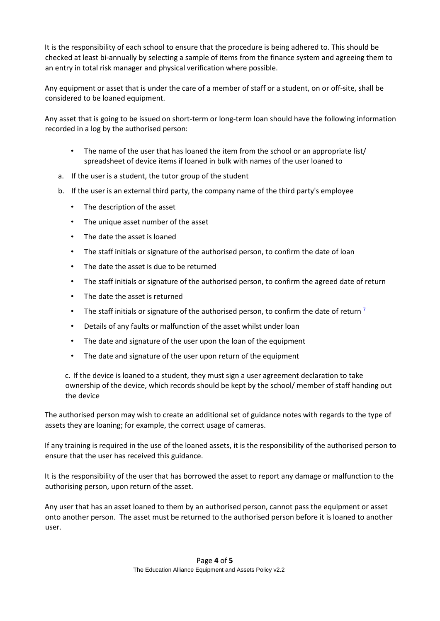It is the responsibility of each school to ensure that the procedure is being adhered to. This should be checked at least bi-annually by selecting a sample of items from the finance system and agreeing them to an entry in total risk manager and physical verification where possible.

Any equipment or asset that is under the care of a member of staff or a student, on or off-site, shall be considered to be loaned equipment.

Any asset that is going to be issued on short-term or long-term loan should have the following information recorded in a log by the authorised person:

- The name of the user that has loaned the item from the school or an appropriate list/ spreadsheet of device items if loaned in bulk with names of the user loaned to
- a. If the user is a student, the tutor group of the student
- b. If the user is an external third party, the company name of the third party's employee
	- The description of the asset
	- The unique asset number of the asset
	- The date the asset is loaned
	- The staff initials or signature of the authorised person, to confirm the date of loan
	- The date the asset is due to be returned
	- The staff initials or signature of the authorised person, to confirm the agreed date of return
	- The date the asset is returned
	- The staff initials or signature of the authorised person, to confirm the date of return  $\frac{7}{5}$
	- Details of any faults or malfunction of the asset whilst under loan
	- The date and signature of the user upon the loan of the equipment
	- The date and signature of the user upon return of the equipment

c. If the device is loaned to a student, they must sign a user agreement declaration to take ownership of the device, which records should be kept by the school/ member of staff handing out the device

The authorised person may wish to create an additional set of guidance notes with regards to the type of assets they are loaning; for example, the correct usage of cameras.

If any training is required in the use of the loaned assets, it is the responsibility of the authorised person to ensure that the user has received this guidance.

It is the responsibility of the user that has borrowed the asset to report any damage or malfunction to the authorising person, upon return of the asset.

Any user that has an asset loaned to them by an authorised person, cannot pass the equipment or asset onto another person. The asset must be returned to the authorised person before it is loaned to another user.